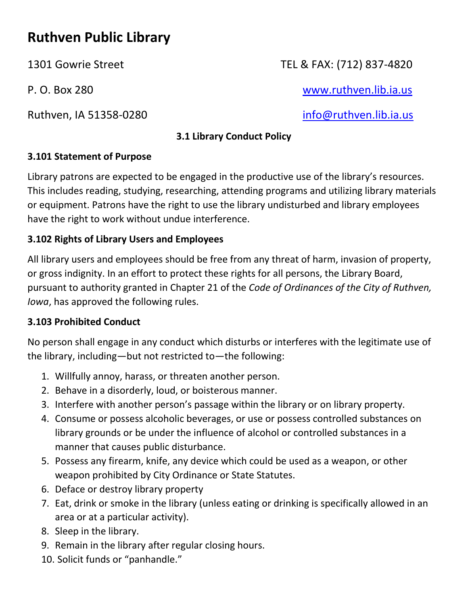# **Ruthven Public Library**

Ruthven, IA 51358-0280 and the state of the [info@ruthven.lib.ia.us](mailto:info@ruthven.lib.ia.us)

# 1301 Gowrie Street TEL & FAX: (712) 837-4820

P. O. Box 280 [www.ruthven.lib.ia.us](http://www.ruthven.lib.ia.us/)

#### **3.1 Library Conduct Policy**

#### **3.101 Statement of Purpose**

Library patrons are expected to be engaged in the productive use of the library's resources. This includes reading, studying, researching, attending programs and utilizing library materials or equipment. Patrons have the right to use the library undisturbed and library employees have the right to work without undue interference.

#### **3.102 Rights of Library Users and Employees**

All library users and employees should be free from any threat of harm, invasion of property, or gross indignity. In an effort to protect these rights for all persons, the Library Board, pursuant to authority granted in Chapter 21 of the *Code of Ordinances of the City of Ruthven, Iowa*, has approved the following rules.

## **3.103 Prohibited Conduct**

No person shall engage in any conduct which disturbs or interferes with the legitimate use of the library, including—but not restricted to—the following:

- 1. Willfully annoy, harass, or threaten another person.
- 2. Behave in a disorderly, loud, or boisterous manner.
- 3. Interfere with another person's passage within the library or on library property.
- 4. Consume or possess alcoholic beverages, or use or possess controlled substances on library grounds or be under the influence of alcohol or controlled substances in a manner that causes public disturbance.
- 5. Possess any firearm, knife, any device which could be used as a weapon, or other weapon prohibited by City Ordinance or State Statutes.
- 6. Deface or destroy library property
- 7. Eat, drink or smoke in the library (unless eating or drinking is specifically allowed in an area or at a particular activity).
- 8. Sleep in the library.
- 9. Remain in the library after regular closing hours.
- 10. Solicit funds or "panhandle."